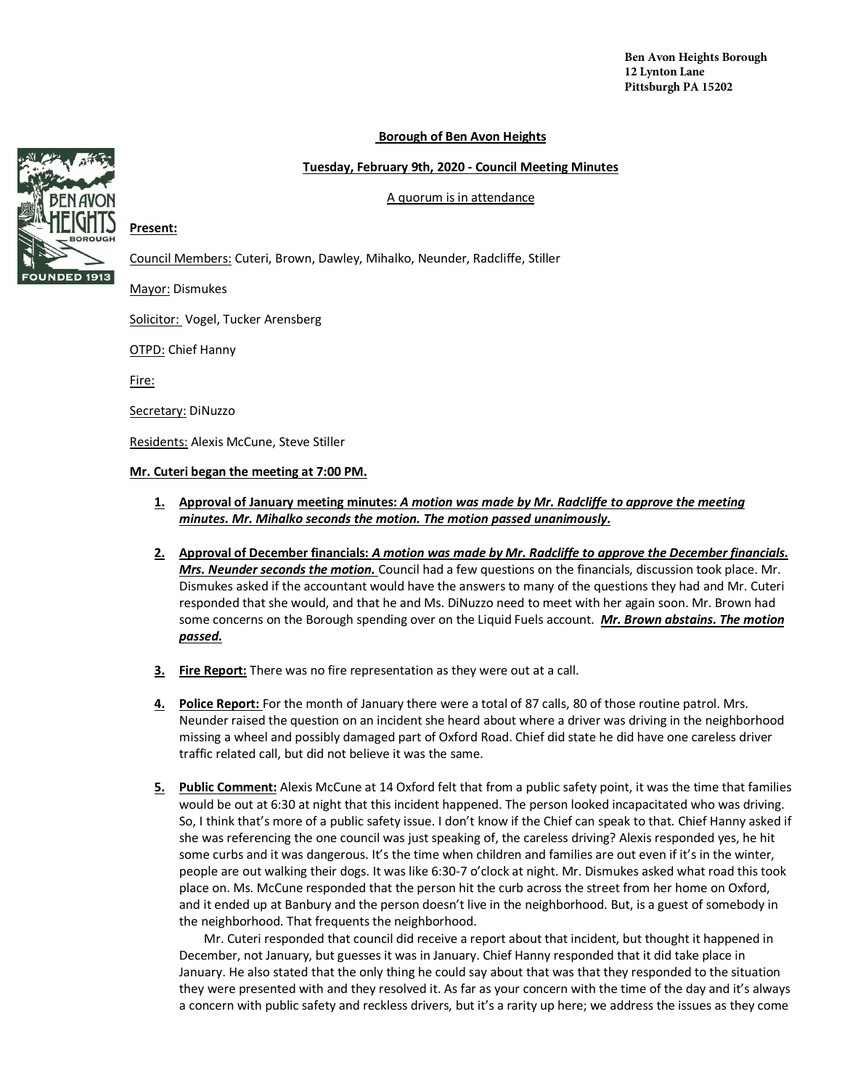**Ben Avon Heights Borough 12 Lynton Lane Pittsburgh PA 15202**

#### **Borough of Ben Avon Heights**

#### **Tuesday, February 9th, 2020 - Council Meeting Minutes**

#### A quorum is in attendance



### **Present:**

Council Members: Cuteri, Brown, Dawley, Mihalko, Neunder, Radcliffe, Stiller

Mayor: Dismukes

Solicitor: Vogel, Tucker Arensberg

OTPD: Chief Hanny

Fire:

Secretary: DiNuzzo

Residents: Alexis McCune, Steve Stiller

#### **Mr. Cuteri began the meeting at 7:00 PM.**

- **1. Approval of January meeting minutes:** *A motion was made by Mr. Radcliffe to approve the meeting minutes. Mr. Mihalko seconds the motion. The motion passed unanimously.*
- **2. Approval of December financials:** *A motion was made by Mr. Radcliffe to approve the December financials. Mrs. Neunder seconds the motion.* Council had a few questions on the financials, discussion took place. Mr. Dismukes asked if the accountant would have the answers to many of the questions they had and Mr. Cuteri responded that she would, and that he and Ms. DiNuzzo need to meet with her again soon. Mr. Brown had some concerns on the Borough spending over on the Liquid Fuels account. *Mr. Brown abstains. The motion passed.*
- **3. Fire Report:** There was no fire representation as they were out at a call.
- **4. Police Report:** For the month of January there were a total of 87 calls, 80 of those routine patrol. Mrs. Neunder raised the question on an incident she heard about where a driver was driving in the neighborhood missing a wheel and possibly damaged part of Oxford Road. Chief did state he did have one careless driver traffic related call, but did not believe it was the same.
- **5. Public Comment:** Alexis McCune at 14 Oxford felt that from a public safety point, it was the time that families would be out at 6:30 at night that this incident happened. The person looked incapacitated who was driving. So, I think that's more of a public safety issue. I don't know if the Chief can speak to that. Chief Hanny asked if she was referencing the one council was just speaking of, the careless driving? Alexis responded yes, he hit some curbs and it was dangerous. It's the time when children and families are out even if it's in the winter, people are out walking their dogs. It was like 6:30-7 o'clock at night. Mr. Dismukes asked what road this took place on. Ms. McCune responded that the person hit the curb across the street from her home on Oxford, and it ended up at Banbury and the person doesn't live in the neighborhood. But, is a guest of somebody in the neighborhood. That frequents the neighborhood.

Mr. Cuteri responded that council did receive a report about that incident, but thought it happened in December, not January, but guesses it was in January. Chief Hanny responded that it did take place in January. He also stated that the only thing he could say about that was that they responded to the situation they were presented with and they resolved it. As far as your concern with the time of the day and it's always a concern with public safety and reckless drivers, but it's a rarity up here; we address the issues as they come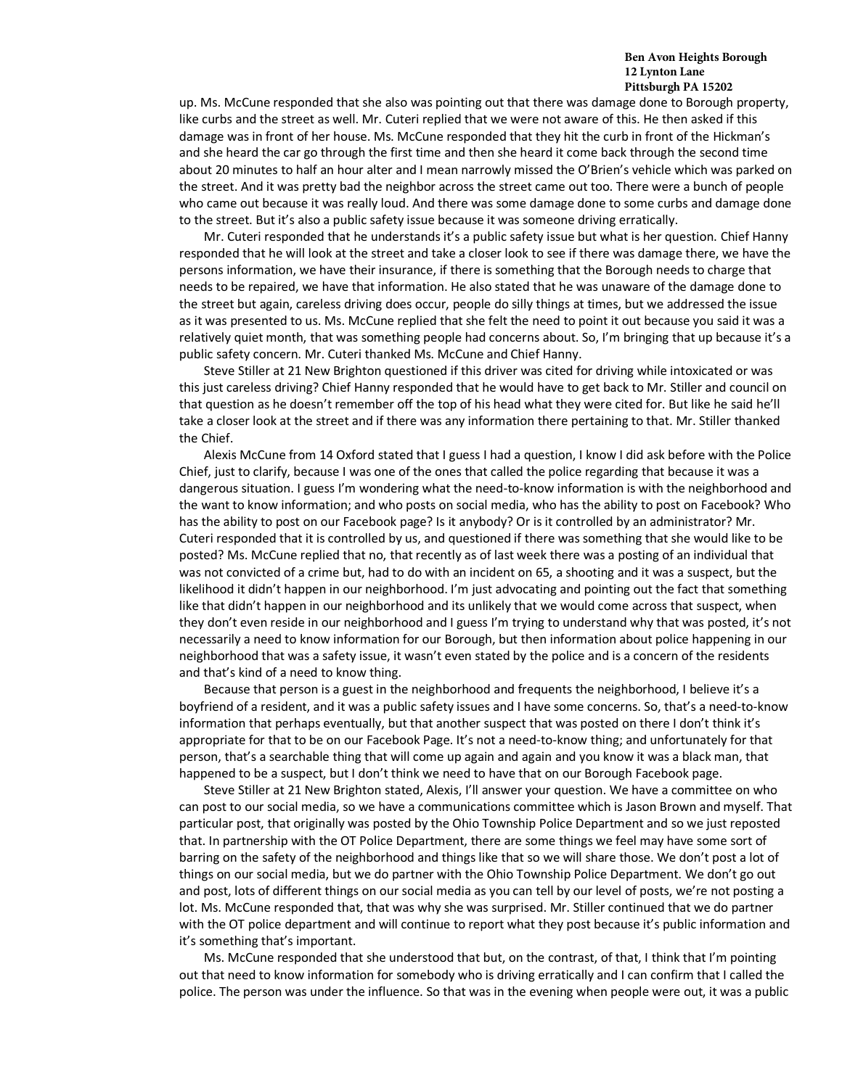#### **Ben Avon Heights Borough 12 Lynton Lane Pittsburgh PA 15202**

up. Ms. McCune responded that she also was pointing out that there was damage done to Borough property, like curbs and the street as well. Mr. Cuteri replied that we were not aware of this. He then asked if this damage was in front of her house. Ms. McCune responded that they hit the curb in front of the Hickman's and she heard the car go through the first time and then she heard it come back through the second time about 20 minutes to half an hour alter and I mean narrowly missed the O'Brien's vehicle which was parked on the street. And it was pretty bad the neighbor across the street came out too. There were a bunch of people who came out because it was really loud. And there was some damage done to some curbs and damage done to the street. But it's also a public safety issue because it was someone driving erratically.

Mr. Cuteri responded that he understands it's a public safety issue but what is her question. Chief Hanny responded that he will look at the street and take a closer look to see if there was damage there, we have the persons information, we have their insurance, if there is something that the Borough needs to charge that needs to be repaired, we have that information. He also stated that he was unaware of the damage done to the street but again, careless driving does occur, people do silly things at times, but we addressed the issue as it was presented to us. Ms. McCune replied that she felt the need to point it out because you said it was a relatively quiet month, that was something people had concerns about. So, I'm bringing that up because it's a public safety concern. Mr. Cuteri thanked Ms. McCune and Chief Hanny.

Steve Stiller at 21 New Brighton questioned if this driver was cited for driving while intoxicated or was this just careless driving? Chief Hanny responded that he would have to get back to Mr. Stiller and council on that question as he doesn't remember off the top of his head what they were cited for. But like he said he'll take a closer look at the street and if there was any information there pertaining to that. Mr. Stiller thanked the Chief.

Alexis McCune from 14 Oxford stated that I guess I had a question, I know I did ask before with the Police Chief, just to clarify, because I was one of the ones that called the police regarding that because it was a dangerous situation. I guess I'm wondering what the need-to-know information is with the neighborhood and the want to know information; and who posts on social media, who has the ability to post on Facebook? Who has the ability to post on our Facebook page? Is it anybody? Or is it controlled by an administrator? Mr. Cuteri responded that it is controlled by us, and questioned if there was something that she would like to be posted? Ms. McCune replied that no, that recently as of last week there was a posting of an individual that was not convicted of a crime but, had to do with an incident on 65, a shooting and it was a suspect, but the likelihood it didn't happen in our neighborhood. I'm just advocating and pointing out the fact that something like that didn't happen in our neighborhood and its unlikely that we would come across that suspect, when they don't even reside in our neighborhood and I guess I'm trying to understand why that was posted, it's not necessarily a need to know information for our Borough, but then information about police happening in our neighborhood that was a safety issue, it wasn't even stated by the police and is a concern of the residents and that's kind of a need to know thing.

Because that person is a guest in the neighborhood and frequents the neighborhood, I believe it's a boyfriend of a resident, and it was a public safety issues and I have some concerns. So, that's a need-to-know information that perhaps eventually, but that another suspect that was posted on there I don't think it's appropriate for that to be on our Facebook Page. It's not a need-to-know thing; and unfortunately for that person, that's a searchable thing that will come up again and again and you know it was a black man, that happened to be a suspect, but I don't think we need to have that on our Borough Facebook page.

Steve Stiller at 21 New Brighton stated, Alexis, I'll answer your question. We have a committee on who can post to our social media, so we have a communications committee which is Jason Brown and myself. That particular post, that originally was posted by the Ohio Township Police Department and so we just reposted that. In partnership with the OT Police Department, there are some things we feel may have some sort of barring on the safety of the neighborhood and things like that so we will share those. We don't post a lot of things on our social media, but we do partner with the Ohio Township Police Department. We don't go out and post, lots of different things on our social media as you can tell by our level of posts, we're not posting a lot. Ms. McCune responded that, that was why she was surprised. Mr. Stiller continued that we do partner with the OT police department and will continue to report what they post because it's public information and it's something that's important.

Ms. McCune responded that she understood that but, on the contrast, of that, I think that I'm pointing out that need to know information for somebody who is driving erratically and I can confirm that I called the police. The person was under the influence. So that was in the evening when people were out, it was a public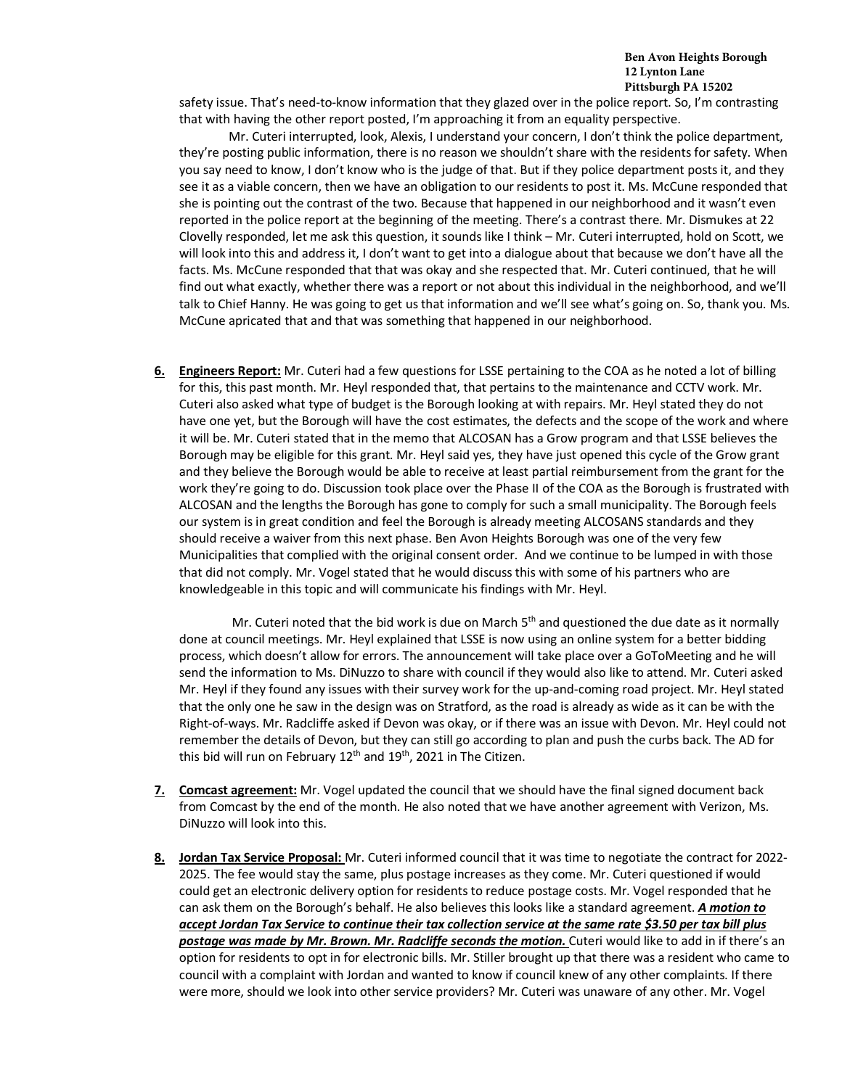safety issue. That's need-to-know information that they glazed over in the police report. So, I'm contrasting that with having the other report posted, I'm approaching it from an equality perspective.

Mr. Cuteri interrupted, look, Alexis, I understand your concern, I don't think the police department, they're posting public information, there is no reason we shouldn't share with the residents for safety. When you say need to know, I don't know who is the judge of that. But if they police department posts it, and they see it as a viable concern, then we have an obligation to our residents to post it. Ms. McCune responded that she is pointing out the contrast of the two. Because that happened in our neighborhood and it wasn't even reported in the police report at the beginning of the meeting. There's a contrast there. Mr. Dismukes at 22 Clovelly responded, let me ask this question, it sounds like I think – Mr. Cuteri interrupted, hold on Scott, we will look into this and address it, I don't want to get into a dialogue about that because we don't have all the facts. Ms. McCune responded that that was okay and she respected that. Mr. Cuteri continued, that he will find out what exactly, whether there was a report or not about this individual in the neighborhood, and we'll talk to Chief Hanny. He was going to get us that information and we'll see what's going on. So, thank you. Ms. McCune apricated that and that was something that happened in our neighborhood.

**6. Engineers Report:** Mr. Cuteri had a few questions for LSSE pertaining to the COA as he noted a lot of billing for this, this past month. Mr. Heyl responded that, that pertains to the maintenance and CCTV work. Mr. Cuteri also asked what type of budget is the Borough looking at with repairs. Mr. Heyl stated they do not have one yet, but the Borough will have the cost estimates, the defects and the scope of the work and where it will be. Mr. Cuteri stated that in the memo that ALCOSAN has a Grow program and that LSSE believes the Borough may be eligible for this grant. Mr. Heyl said yes, they have just opened this cycle of the Grow grant and they believe the Borough would be able to receive at least partial reimbursement from the grant for the work they're going to do. Discussion took place over the Phase II of the COA as the Borough is frustrated with ALCOSAN and the lengths the Borough has gone to comply for such a small municipality. The Borough feels our system is in great condition and feel the Borough is already meeting ALCOSANS standards and they should receive a waiver from this next phase. Ben Avon Heights Borough was one of the very few Municipalities that complied with the original consent order. And we continue to be lumped in with those that did not comply. Mr. Vogel stated that he would discuss this with some of his partners who are knowledgeable in this topic and will communicate his findings with Mr. Heyl.

Mr. Cuteri noted that the bid work is due on March  $5<sup>th</sup>$  and questioned the due date as it normally done at council meetings. Mr. Heyl explained that LSSE is now using an online system for a better bidding process, which doesn't allow for errors. The announcement will take place over a GoToMeeting and he will send the information to Ms. DiNuzzo to share with council if they would also like to attend. Mr. Cuteri asked Mr. Heyl if they found any issues with their survey work for the up-and-coming road project. Mr. Heyl stated that the only one he saw in the design was on Stratford, as the road is already as wide as it can be with the Right-of-ways. Mr. Radcliffe asked if Devon was okay, or if there was an issue with Devon. Mr. Heyl could not remember the details of Devon, but they can still go according to plan and push the curbs back. The AD for this bid will run on February  $12<sup>th</sup>$  and  $19<sup>th</sup>$ , 2021 in The Citizen.

- **7. Comcast agreement:** Mr. Vogel updated the council that we should have the final signed document back from Comcast by the end of the month. He also noted that we have another agreement with Verizon, Ms. DiNuzzo will look into this.
- **8. Jordan Tax Service Proposal:** Mr. Cuteri informed council that it was time to negotiate the contract for 2022- 2025. The fee would stay the same, plus postage increases as they come. Mr. Cuteri questioned if would could get an electronic delivery option for residents to reduce postage costs. Mr. Vogel responded that he can ask them on the Borough's behalf. He also believes this looks like a standard agreement. *A motion to accept Jordan Tax Service to continue their tax collection service at the same rate \$3.50 per tax bill plus*  postage was made by Mr. Brown. Mr. Radcliffe seconds the motion. Cuteri would like to add in if there's an option for residents to opt in for electronic bills. Mr. Stiller brought up that there was a resident who came to council with a complaint with Jordan and wanted to know if council knew of any other complaints. If there were more, should we look into other service providers? Mr. Cuteri was unaware of any other. Mr. Vogel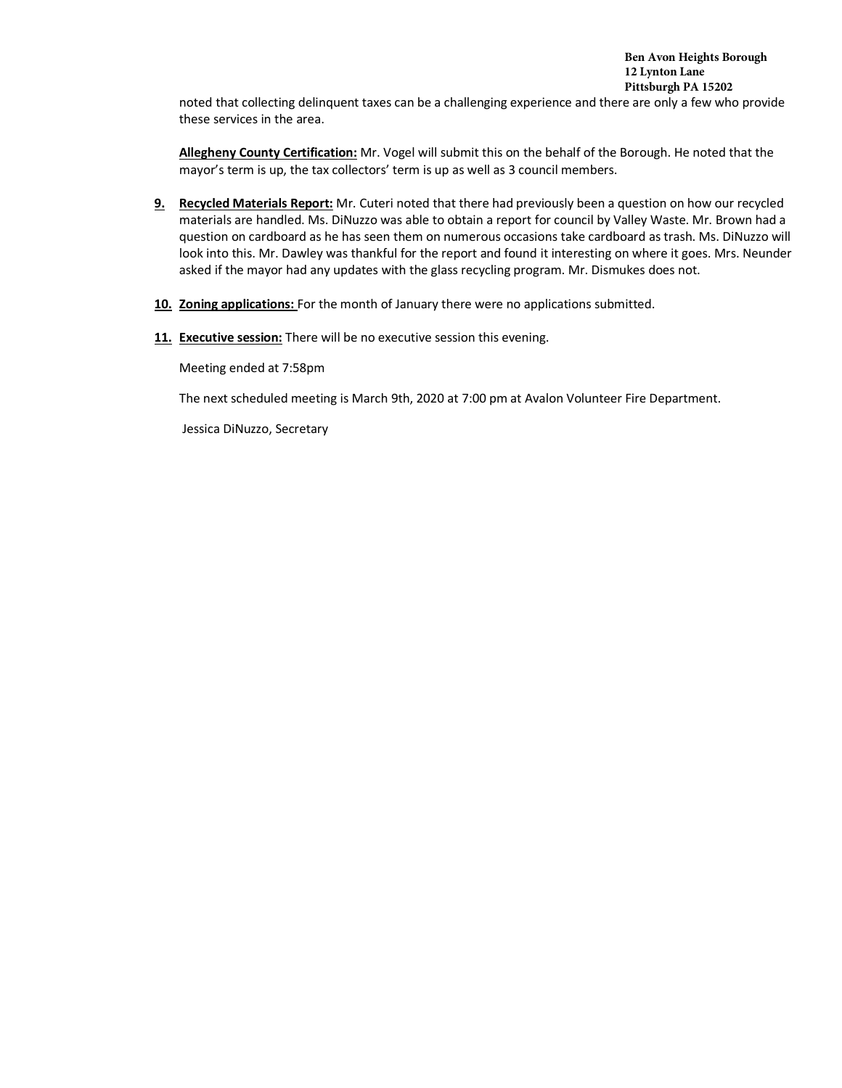noted that collecting delinquent taxes can be a challenging experience and there are only a few who provide these services in the area.

**Allegheny County Certification:** Mr. Vogel will submit this on the behalf of the Borough. He noted that the mayor's term is up, the tax collectors' term is up as well as 3 council members.

- **9. Recycled Materials Report:** Mr. Cuteri noted that there had previously been a question on how our recycled materials are handled. Ms. DiNuzzo was able to obtain a report for council by Valley Waste. Mr. Brown had a question on cardboard as he has seen them on numerous occasions take cardboard as trash. Ms. DiNuzzo will look into this. Mr. Dawley was thankful for the report and found it interesting on where it goes. Mrs. Neunder asked if the mayor had any updates with the glass recycling program. Mr. Dismukes does not.
- **10. Zoning applications:** For the month of January there were no applications submitted.
- **11. Executive session:** There will be no executive session this evening.

Meeting ended at 7:58pm

The next scheduled meeting is March 9th, 2020 at 7:00 pm at Avalon Volunteer Fire Department.

Jessica DiNuzzo, Secretary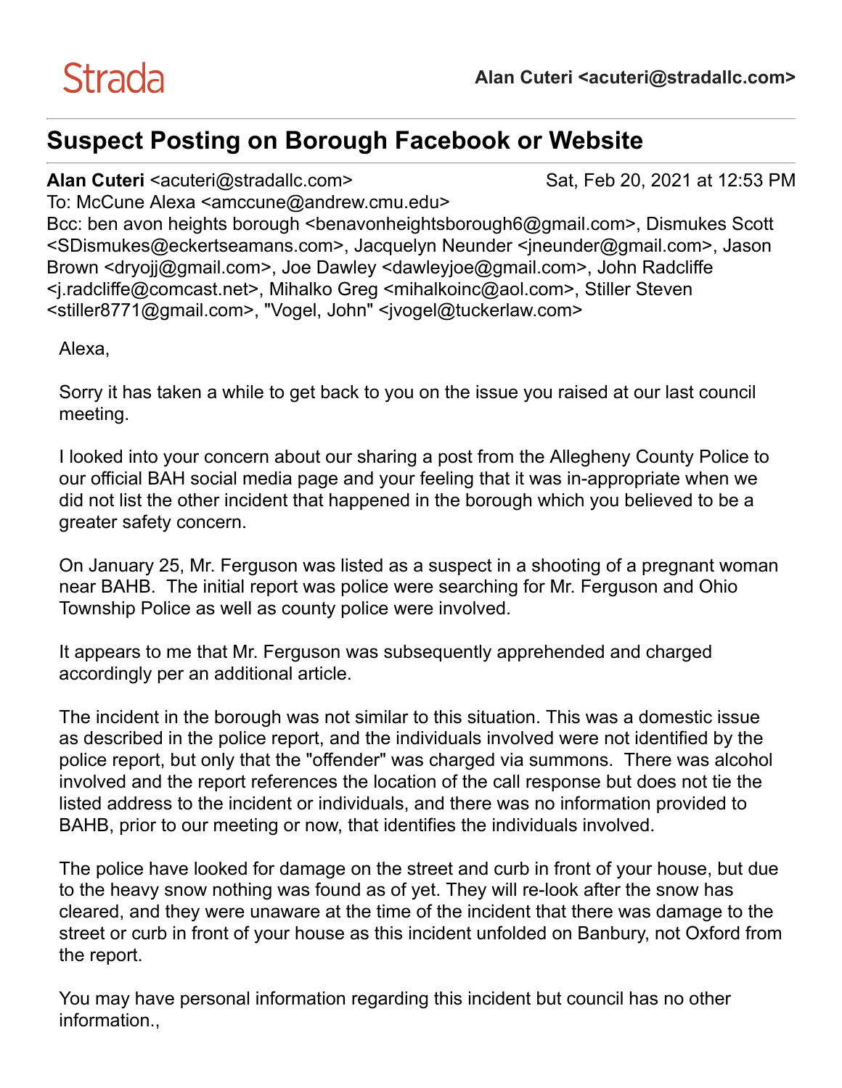# **Suspect Posting on Borough Facebook or Website**

## **Alan Cuteri** <acuteri@stradallc.com> Sat, Feb 20, 2021 at 12:53 PM

To: McCune Alexa <amccune@andrew.cmu.edu> Bcc: ben avon heights borough <benavonheightsborough6@gmail.com>, Dismukes Scott <SDismukes@eckertseamans.com>, Jacquelyn Neunder <jneunder@gmail.com>, Jason Brown <dryojj@gmail.com>, Joe Dawley <dawleyjoe@gmail.com>, John Radcliffe <j.radcliffe@comcast.net>, Mihalko Greg <mihalkoinc@aol.com>, Stiller Steven <stiller8771@gmail.com>, "Vogel, John" <ivogel@tuckerlaw.com>

Alexa,

Sorry it has taken a while to get back to you on the issue you raised at our last council meeting.

I looked into your concern about our sharing a post from the Allegheny County Police to our official BAH social media page and your feeling that it was in-appropriate when we did not list the other incident that happened in the borough which you believed to be a greater safety concern.

On January 25, Mr. Ferguson was listed as a suspect in a shooting of a pregnant woman near BAHB. The initial report was police were searching for Mr. Ferguson and Ohio Township Police as well as county police were involved.

It appears to me that Mr. Ferguson was subsequently apprehended and charged accordingly per an additional article.

The incident in the borough was not similar to this situation. This was a domestic issue as described in the police report, and the individuals involved were not identified by the police report, but only that the "offender" was charged via summons. There was alcohol involved and the report references the location of the call response but does not tie the listed address to the incident or individuals, and there was no information provided to BAHB, prior to our meeting or now, that identifies the individuals involved.

The police have looked for damage on the street and curb in front of your house, but due to the heavy snow nothing was found as of yet. They will re-look after the snow has cleared, and they were unaware at the time of the incident that there was damage to the street or curb in front of your house as this incident unfolded on Banbury, not Oxford from the report.

You may have personal information regarding this incident but council has no other information..